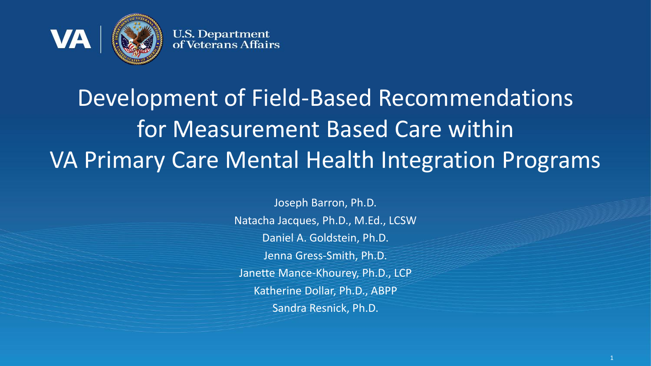

# Development of Field-Based Recommendations for Measurement Based Care within VA Primary Care Mental Health Integration Programs

Joseph Barron, Ph.D. Natacha Jacques, Ph.D., M.Ed., LCSW Daniel A. Goldstein, Ph.D. Jenna Gress-Smith, Ph.D. Janette Mance-Khourey, Ph.D., LCP Katherine Dollar, Ph.D., ABPP Sandra Resnick, Ph.D.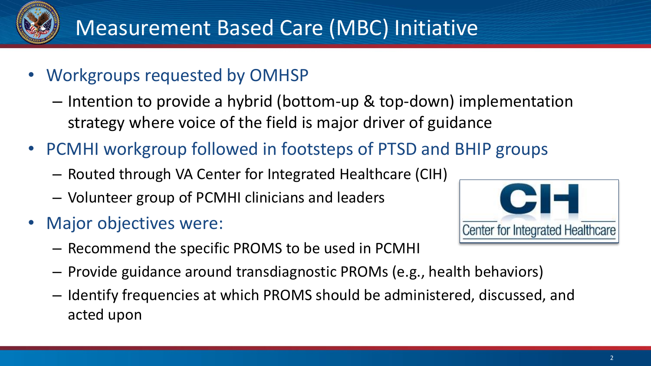

- Workgroups requested by OMHSP
	- Intention to provide a hybrid (bottom-up & top-down) implementation strategy where voice of the field is major driver of guidance
- PCMHI workgroup followed in footsteps of PTSD and BHIP groups
	- Routed through VA Center for Integrated Healthcare (CIH)
	- Volunteer group of PCMHI clinicians and leaders
- Major objectives were:
	- Recommend the specific PROMS to be used in PCMHI
- CIFI Center for Integrated Healthcare
- Provide guidance around transdiagnostic PROMs (e.g., health behaviors)
- Identify frequencies at which PROMS should be administered, discussed, and acted upon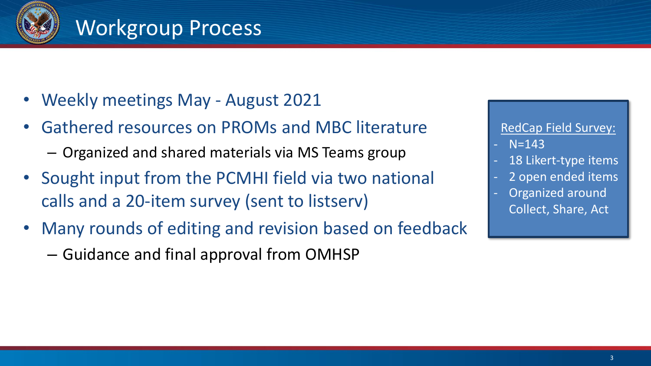

### Workgroup Process

- Weekly meetings May August 2021
- Gathered resources on PROMs and MBC literature
	- Organized and shared materials via MS Teams group
- Sought input from the PCMHI field via two national calls and a 20-item survey (sent to listserv)
- Many rounds of editing and revision based on feedback
	- Guidance and final approval from OMHSP

RedCap Field Survey:

- $N = 143$
- 18 Likert-type items
- 2 open ended items
- Organized around Collect, Share, Act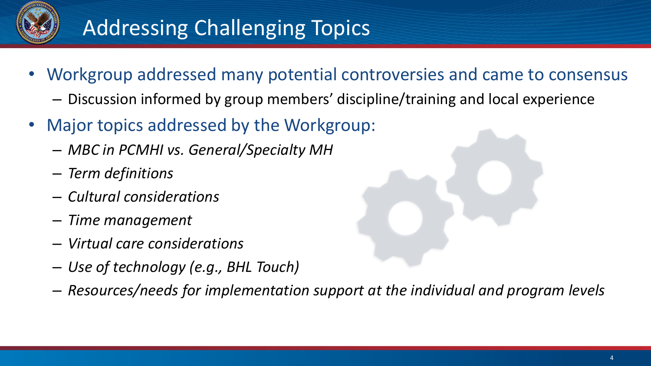

## Addressing Challenging Topics

- Workgroup addressed many potential controversies and came to consensus
	- Discussion informed by group members' discipline/training and local experience
- Major topics addressed by the Workgroup:
	- *MBC in PCMHI vs. General/Specialty MH*
	- *Term definitions*
	- *Cultural considerations*
	- *Time management*
	- *Virtual care considerations*
	- *Use of technology (e.g., BHL Touch)*
	- *Resources/needs for implementation support at the individual and program levels*

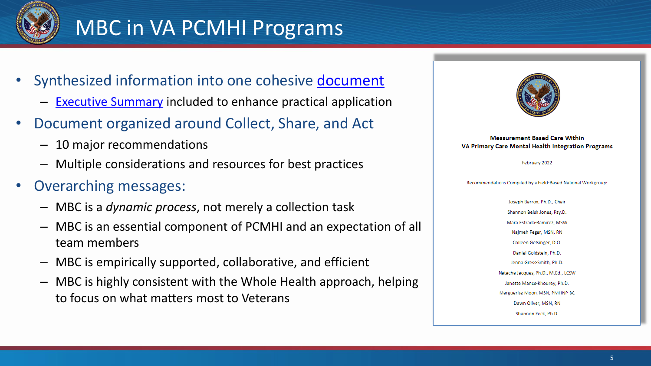

## MBC in VA PCMHI Programs

- Synthesized information into one cohesive [document](https://dvagov.sharepoint.com/sites/VACOMentalHealth/MBC/Shared%20Documents/Forms/AllItems.aspx?FolderCTID=0x012000F8D95E98F45BE849B869997219E44175&id=%2Fsites%2FVACOMentalHealth%2FMBC%2FShared%20Documents%2FField%2Dbased%20Workgroup%20Guidance%2FMBC%20in%20VA%20PCMHI%20Programs%202022%2Epdf&parent=%2Fsites%2FVACOMentalHealth%2FMBC%2FShared%20Documents%2FField%2Dbased%20Workgroup%20Guidance)
	- [Executive Summary](https://dvagov.sharepoint.com/:b:/r/sites/VACOMentalHealth/MBC/Shared%20Documents/Field-based%20Workgroup%20Guidance/MBC%20in%20PCMHI%20Executive%20Summary%20.pdf?csf=1&web=1&e=KskRH9) included to enhance practical application
- Document organized around Collect, Share, and Act
	- 10 major recommendations
	- Multiple considerations and resources for best practices
- Overarching messages:
	- MBC is a *dynamic process*, not merely a collection task
	- MBC is an essential component of PCMHI and an expectation of all team members
	- MBC is empirically supported, collaborative, and efficient
	- MBC is highly consistent with the Whole Health approach, helping to focus on what matters most to Veterans



**Measurement Based Care Within** VA Primary Care Mental Health Integration Programs

February 2022

Recommendations Compiled by a Field-Based National Workgroup:

Joseph Barron, Ph.D., Chair Shannon Beish Jones, Psy.D. Mara Estrada-Ramirez, MSW Najmeh Feger, MSN, RN Colleen Getsinger, D.O. Daniel Goldstein, Ph.D. Jenna Gress-Smith, Ph.D. Natacha Jacques, Ph.D., M.Ed., LCSW Janette Mance-Khourey, Ph.D. Marguerite Moon, MSN, PMHNP-BC Dawn Oliver, MSN, RN Shannon Peck, Ph.D.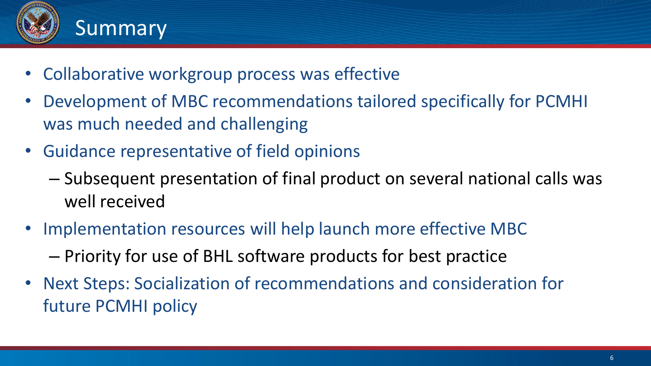

## Summary

- Collaborative workgroup process was effective
- Development of MBC recommendations tailored specifically for PCMHI was much needed and challenging
- Guidance representative of field opinions
	- Subsequent presentation of final product on several national calls was well received
- Implementation resources will help launch more effective MBC
	- Priority for use of BHL software products for best practice
- Next Steps: Socialization of recommendations and consideration for future PCMHI policy